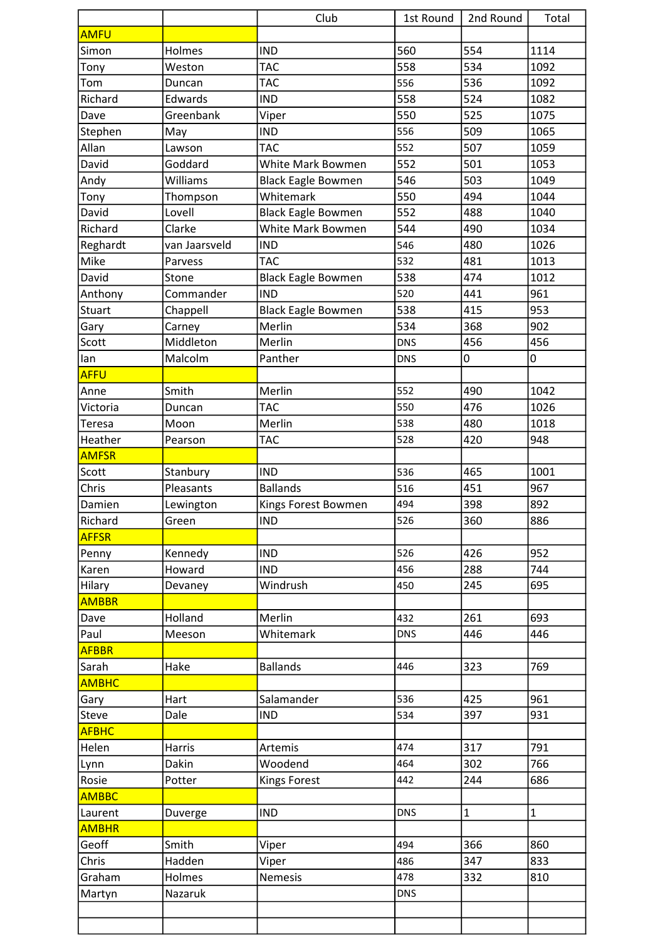|              |               | Club                      | 1st Round  | 2nd Round    | Total          |
|--------------|---------------|---------------------------|------------|--------------|----------------|
| <b>AMFU</b>  |               |                           |            |              |                |
| Simon        | Holmes        | <b>IND</b>                | 560        | 554          | 1114           |
| Tony         | Weston        | <b>TAC</b>                | 558        | 534          | 1092           |
| Tom          | Duncan        | <b>TAC</b>                | 556        | 536          | 1092           |
| Richard      | Edwards       | <b>IND</b>                | 558        | 524          | 1082           |
| Dave         | Greenbank     | Viper                     | 550        | 525          | 1075           |
| Stephen      | May           | <b>IND</b>                | 556        | 509          | 1065           |
| Allan        | Lawson        | <b>TAC</b>                | 552        | 507          | 1059           |
| David        | Goddard       | White Mark Bowmen         | 552        | 501          | 1053           |
| Andy         | Williams      | <b>Black Eagle Bowmen</b> | 546        | 503          | 1049           |
| Tony         | Thompson      | Whitemark                 | 550        | 494          | 1044           |
| David        | Lovell        | <b>Black Eagle Bowmen</b> | 552        | 488          | 1040           |
| Richard      | Clarke        | White Mark Bowmen         | 544        | 490          | 1034           |
| Reghardt     | van Jaarsveld | <b>IND</b>                | 546        | 480          | 1026           |
| Mike         | Parvess       | <b>TAC</b>                | 532        | 481          | 1013           |
| David        | Stone         | <b>Black Eagle Bowmen</b> | 538        | 474          | 1012           |
| Anthony      | Commander     | <b>IND</b>                | 520        | 441          | 961            |
| Stuart       | Chappell      | <b>Black Eagle Bowmen</b> | 538        | 415          | 953            |
| Gary         | Carney        | Merlin                    | 534        | 368          | 902            |
| Scott        | Middleton     | Merlin                    | <b>DNS</b> | 456          | 456            |
| lan          | Malcolm       | Panther                   | <b>DNS</b> | 0            | 0              |
| <b>AFFU</b>  |               |                           |            |              |                |
| Anne         | Smith         | Merlin                    | 552        | 490          | 1042           |
| Victoria     | Duncan        | <b>TAC</b>                | 550        | 476          | 1026           |
| Teresa       | Moon          | Merlin                    | 538        | 480          | 1018           |
| Heather      | Pearson       | <b>TAC</b>                | 528        | 420          | 948            |
| <b>AMFSR</b> |               |                           |            |              |                |
| Scott        | Stanbury      | <b>IND</b>                | 536        | 465          | 1001           |
| Chris        | Pleasants     | <b>Ballands</b>           | 516        | 451          | 967            |
| Damien       | Lewington     | Kings Forest Bowmen       | 494        | 398          | 892            |
| Richard      | Green         | <b>IND</b>                | 526        | 360          | 886            |
| <b>AFFSR</b> |               |                           |            |              |                |
| Penny        | Kennedy       | <b>IND</b>                | 526        | 426          | 952            |
| Karen        | Howard        | <b>IND</b>                | 456        | 288          | 744            |
| Hilary       | Devaney       | Windrush                  | 450        | 245          | 695            |
| <b>AMBBR</b> |               |                           |            |              |                |
| Dave         | Holland       | Merlin                    | 432        | 261          | 693            |
| Paul         | Meeson        | Whitemark                 | <b>DNS</b> | 446          | 446            |
| <b>AFBBR</b> |               |                           |            |              |                |
| Sarah        | Hake          | <b>Ballands</b>           | 446        | 323          | 769            |
| <b>AMBHC</b> |               |                           |            |              |                |
| Gary         | Hart          | Salamander                | 536        | 425          | 961            |
| Steve        | Dale          | <b>IND</b>                | 534        | 397          | 931            |
| <b>AFBHC</b> |               |                           |            |              |                |
| Helen        | Harris        | <b>Artemis</b>            | 474        | 317          | 791            |
| Lynn         | Dakin         | Woodend                   | 464        | 302          | 766            |
| Rosie        | Potter        | <b>Kings Forest</b>       | 442        | 244          | 686            |
| <b>AMBBC</b> |               |                           |            |              |                |
| Laurent      | Duverge       | <b>IND</b>                | <b>DNS</b> | $\mathbf{1}$ | $\overline{1}$ |
| <b>AMBHR</b> |               |                           |            |              |                |
| Geoff        | Smith         | Viper                     | 494        | 366          | 860            |
| Chris        | Hadden        | Viper                     | 486        | 347          | 833            |
| Graham       | Holmes        | <b>Nemesis</b>            | 478        | 332          | 810            |
| Martyn       | Nazaruk       |                           | <b>DNS</b> |              |                |
|              |               |                           |            |              |                |
|              |               |                           |            |              |                |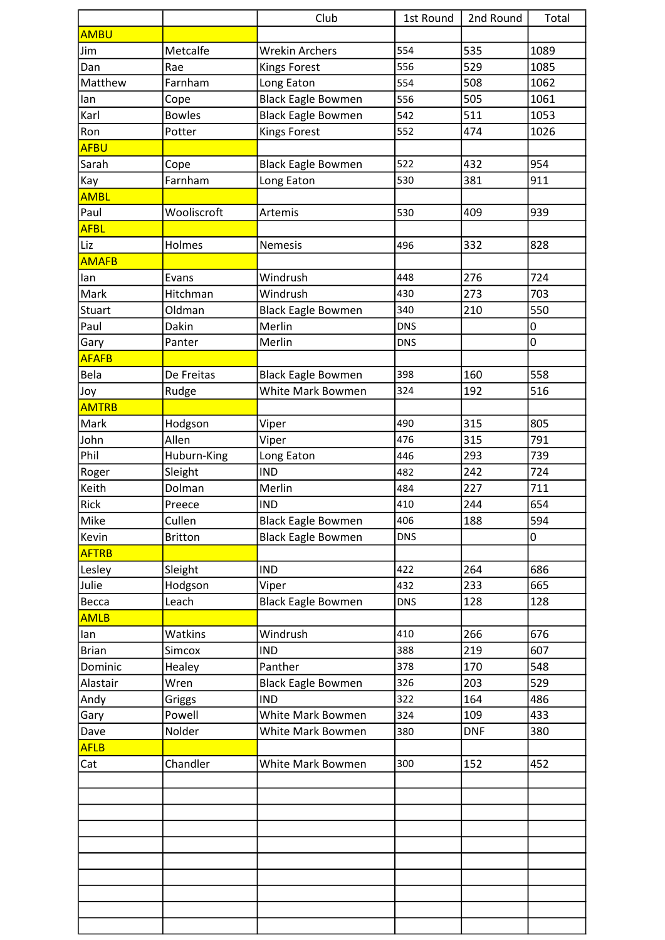|              |                | Club                      | 1st Round  | 2nd Round  | Total |
|--------------|----------------|---------------------------|------------|------------|-------|
| <b>AMBU</b>  |                |                           |            |            |       |
| Jim          | Metcalfe       | <b>Wrekin Archers</b>     | 554        | 535        | 1089  |
| Dan          | Rae            | <b>Kings Forest</b>       | 556        | 529        | 1085  |
| Matthew      | Farnham        | Long Eaton                | 554        | 508        | 1062  |
| lan          | Cope           | <b>Black Eagle Bowmen</b> | 556        | 505        | 1061  |
| Karl         | <b>Bowles</b>  | <b>Black Eagle Bowmen</b> | 542        | 511        | 1053  |
| Ron          | Potter         | <b>Kings Forest</b>       | 552        | 474        | 1026  |
| <b>AFBU</b>  |                |                           |            |            |       |
| Sarah        | Cope           | <b>Black Eagle Bowmen</b> | 522        | 432        | 954   |
| Kay          | Farnham        | Long Eaton                | 530        | 381        | 911   |
| <b>AMBL</b>  |                |                           |            |            |       |
| Paul         | Wooliscroft    | Artemis                   | 530        | 409        | 939   |
| <b>AFBL</b>  |                |                           |            |            |       |
| Liz          | Holmes         | Nemesis                   | 496        | 332        | 828   |
| <b>AMAFB</b> |                |                           |            |            |       |
| lan          | Evans          | Windrush                  | 448        | 276        | 724   |
| Mark         | Hitchman       | Windrush                  | 430        | 273        | 703   |
| Stuart       | Oldman         | <b>Black Eagle Bowmen</b> | 340        | 210        | 550   |
| Paul         | Dakin          | Merlin                    | <b>DNS</b> |            | 0     |
| Gary         | Panter         | Merlin                    | <b>DNS</b> |            | 0     |
| <b>AFAFB</b> |                |                           |            |            |       |
| Bela         | De Freitas     | <b>Black Eagle Bowmen</b> | 398        | 160        | 558   |
| Joy          | Rudge          | White Mark Bowmen         | 324        | 192        | 516   |
| <b>AMTRB</b> |                |                           |            |            |       |
| Mark         | Hodgson        | Viper                     | 490        | 315        | 805   |
| John         | Allen          | Viper                     | 476        | 315        | 791   |
| Phil         | Huburn-King    | Long Eaton                | 446        | 293        | 739   |
| Roger        | Sleight        | <b>IND</b>                | 482        | 242        | 724   |
| Keith        | Dolman         | Merlin                    | 484        | 227        | 711   |
| Rick         | Preece         | <b>IND</b>                | 410        | 244        | 654   |
| Mike         | Cullen         | <b>Black Eagle Bowmen</b> | 406        | 188        | 594   |
| Kevin        | <b>Britton</b> | <b>Black Eagle Bowmen</b> | <b>DNS</b> |            | 0     |
| <b>AFTRB</b> |                |                           |            |            |       |
| Lesley       | Sleight        | <b>IND</b>                | 422        | 264        | 686   |
| Julie        | Hodgson        | Viper                     | 432        | 233        | 665   |
| Becca        | Leach          | <b>Black Eagle Bowmen</b> | <b>DNS</b> | 128        | 128   |
| <b>AMLB</b>  |                |                           |            |            |       |
| lan          | Watkins        | Windrush                  | 410        | 266        | 676   |
| <b>Brian</b> | <b>Simcox</b>  | <b>IND</b>                | 388        | 219        | 607   |
| Dominic      | Healey         | Panther                   | 378        | 170        | 548   |
| Alastair     | Wren           | <b>Black Eagle Bowmen</b> | 326        | 203        | 529   |
| Andy         | Griggs         | <b>IND</b>                | 322        | 164        | 486   |
| Gary         | Powell         | White Mark Bowmen         | 324        | 109        | 433   |
| Dave         | Nolder         | White Mark Bowmen         | 380        | <b>DNF</b> | 380   |
| <b>AFLB</b>  |                |                           |            |            |       |
| Cat          | Chandler       | White Mark Bowmen         | 300        | 152        | 452   |
|              |                |                           |            |            |       |
|              |                |                           |            |            |       |
|              |                |                           |            |            |       |
|              |                |                           |            |            |       |
|              |                |                           |            |            |       |
|              |                |                           |            |            |       |
|              |                |                           |            |            |       |
|              |                |                           |            |            |       |
|              |                |                           |            |            |       |
|              |                |                           |            |            |       |